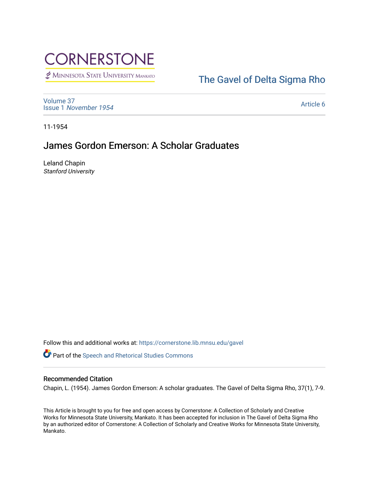

MINNESOTA STATE UNIVERSITY MANKATO

# [The Gavel of Delta Sigma Rho](https://cornerstone.lib.mnsu.edu/gavel)

[Volume 37](https://cornerstone.lib.mnsu.edu/gavel/vol37) Issue 1 [November 1954](https://cornerstone.lib.mnsu.edu/gavel/vol37/iss1) 

[Article 6](https://cornerstone.lib.mnsu.edu/gavel/vol37/iss1/6) 

11-1954

## James Gordon Emerson: A Scholar Graduates

Leland Chapin Stanford University

Follow this and additional works at: [https://cornerstone.lib.mnsu.edu/gavel](https://cornerstone.lib.mnsu.edu/gavel?utm_source=cornerstone.lib.mnsu.edu%2Fgavel%2Fvol37%2Fiss1%2F6&utm_medium=PDF&utm_campaign=PDFCoverPages) 

Part of the [Speech and Rhetorical Studies Commons](http://network.bepress.com/hgg/discipline/338?utm_source=cornerstone.lib.mnsu.edu%2Fgavel%2Fvol37%2Fiss1%2F6&utm_medium=PDF&utm_campaign=PDFCoverPages) 

#### Recommended Citation

Chapin, L. (1954). James Gordon Emerson: A scholar graduates. The Gavel of Delta Sigma Rho, 37(1), 7-9.

This Article is brought to you for free and open access by Cornerstone: A Collection of Scholarly and Creative Works for Minnesota State University, Mankato. It has been accepted for inclusion in The Gavel of Delta Sigma Rho by an authorized editor of Cornerstone: A Collection of Scholarly and Creative Works for Minnesota State University, Mankato.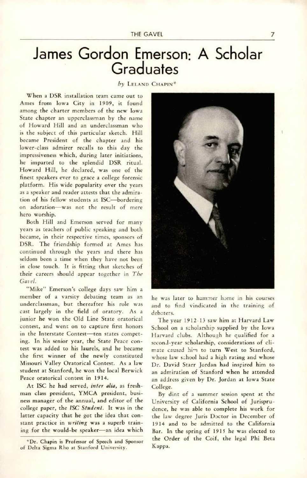THE GAVEL

# James Gordon Emerson; A Scholar **Graduates**

by LELAND CHAPIN<sup>\*</sup>

When a DSR installation team came out to Ames from Iowa City in 1909, it found among the charter members of the new Iowa State chapter an upperclassman by the name of Howard Hill and an underclassman who is the subject of this particular sketch. Hill became President of the chapter and his lower-class admirer recalls to this day the impressiveness which, during later initiations, he imparted to the splendid DSR ritual. Howard Hill, he declared, was one of the finest speakers ever to grace a college forensic platform. His wide popularity over the years as a speaker and reader attests that the admira tion of his fellow students at ISC—bordering on adoration—was not the result of mere hero worship.

Both Hill and Emerson served for many years as teachers of public speaking and both became, in their respective times, sponsors of DSR. The friendship formed at Ames has continued through the years and there has seldom been a time when they have not been in close touch. It is fitting that sketches of their careers should appear together in The Gavel.

"Mike" Emerson's college days saw him a member of a varsity debating team as an underclassman, but thereafter his role was cast largely in the field of oratory. As a junior he won the Old Line State oratorical contest, and went on to capture first honors in the Interstate Contest—ten states compet ing. In his senior year, the State Peace con test was added to his laurels, and he became the first winner of the newly constituted Missouri Valley Oratorical Contest. As a law student at Stanford, he won the local Berwick Peace oratorical contest in 1914.

At ISC he had served, inter alia, as freshman class president, YMCA president, busi ness manager of the annual, and editor of the college paper, the ISC Student. It was in the latter capacity that he got the idea that con stant practice in writing was a superb training for the would-be speaker—an idea which



he was later to hammer home in his courses and to find vindicated in the training of debaters.

The year 1912-13 saw him at Harvard Law School on a scholarship supplied by the Iowa Harvard clubs. Although he qualified for a second-year scholarship, considerations of cli mate caused him to turn West to Stanford, whose law school had a high rating and whose Dr. David Starr Jordan had inspired him to an admiration of Stanford when he attended an address given by Dr. Jordan at Iowa State College.

By dint of a summer session spent at the University of California School of Jurispru dence, he was able to complete his work for the law degree Juris Doctor in December of 1914 and to be admitted to the California Bar. In the spring of 1915 he was elected to the Order of the Coif, the legal Phi Beta Kappa.

7

<sup>\*</sup>Dr. Chapin is Professor of Speech and Sponsor of Delta Sigma Rho at Stanford University.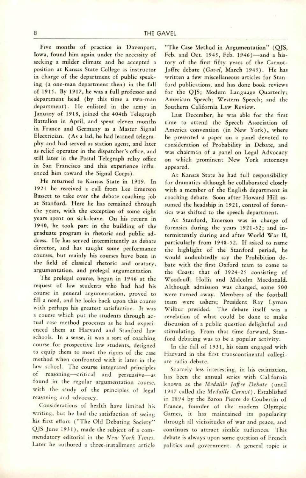Five months of practice in Davenport, Iowa, found him again under the necessity of seeking a milder climate and he accepted a position at Kansas State College as instructor in charge of the department of public speak ing (a one-man department then) in the fall of 1915. By 1917, he was a full professor and department head (by this time a two-man department). He enlisted in the army in January of 1918, joined the 404th Telegraph Battalion in April, and spent eleven months in France and Germany as a Master Signal Electrician. (As a lad, he had learned telegra phy and had served as station agent, and later as relief operator in the dispatcher's office, and still later in the Postal Telegraph relay office in San Francisco and this experience influ enced him toward the Signal Corps).

He returned to Kansas State in 1919. In 1921 he received a call from Lee Emerson Bassett to take over the debate coaching job at Stanford. Here he has remained through the years, with the exception of some eight years spent on sick-leave. On his return in 1940, he took part in the building of the graduate program in rhetoric and public ad dress. He has served intermittently as debate director, and has taught some performance courses, but mainly his courses have been in the field of classical rhetoric and oratory, argumentation, and prelegal argumentation.

The prelegal course, begun in 1946 at the request of law students who had had his course in general argumentation, proved to fill a need, and he looks back upon this course with perhaps his greatest satisfaction. It was a course which put the students through ac tual case method processes as he had experi enced them at Harvard and Stanford law schools. In a sense, it was a sort of coaching course for prospective law students, designed to equip them to meet the rigors of the case method when confronted with it later in the law school. The course integrated principles of reasoning—critical and persuasive—as found in the regular argumentation course, with the study of the principles of legal reasoning and advocacy.

Considerations of health have limited his writing, but he had the satisfaction of seeing his first effort ("The Old Debating Society" QJS June 1931), made the subject of a commendatory editorial in the New York Times. Later he authored a three-installment article

"The Case Method in Argumentation" (QJS, Feb. and Oct. 1945, Feb. 1946)-and a history of the first fifty years of the Carnot-Joffre debate (Gavel, March 1945). He has written a few miscellaneous articles for Stan ford publications, and has done book reviews for the QJS; Modern Language Quarterly; American Speech; Western Speech; and the Southern California Law Review.

Last December, he was able for the first time to attend the Speech Association of America convention (in New York), where he presented a paper on a panel devoted to consideration of Probability in Debate, and was chairman of a panel on Legal Advocacy on which prominent New York attorneys appeared.

At Kansas State he had full responsibility for dramatics although he collaborated closely with a member of the English department in coaching debate. Soon after Howard Hill as sumed the headship in 1921, control of forensics was shifted to the speech department.

At Stanford, Emerson was in charge of forensics during the years 1921-32; and in termittently during and after World War II, particularly from 1948-52. If asked to name the highlight of the Stanford period, he would undoubtedly say the Prohibition de bate with the first Oxford team to come to the Coast: that of 1924-25 consisting of Woodruff, Hollis and Malcolm Macdonald. Although admission was charged, some 500 were turned away. Members of the football team were ushers; President Ray Lyman Wilbur presided. The debate itself was a revelation of what could be done to make discussion of a public question delightful and stimulating. From that time forward, Stan ford debating was to be a popular activity.

In the fall of 1931, his team engaged with Harvard in the first transcontinental collegi ate radio debate.

Scarcely less interesting, in his estimation, has been the annual series with California known as the Medaille Joffre Debate (until 1947 called the Medaille Carnot). Established in 1894 by the Baron Pierre de Coubertin of France, founder of the modern Olympic Games, it has maintained its popularity through all vicissitudes of war and peace, and continues to attract sizable audiences. This debate is always upon some question of French politics and government. A general topic is